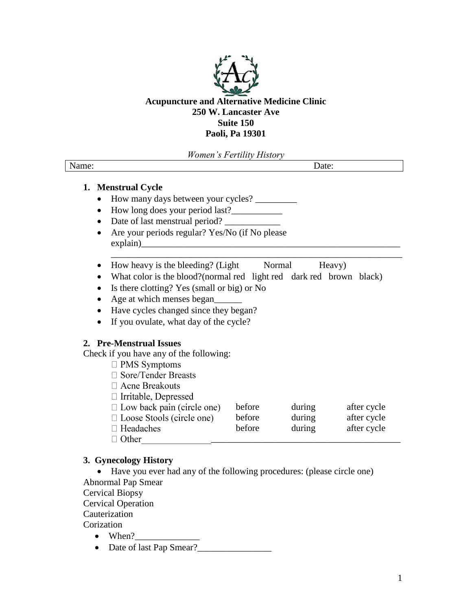

# **Acupuncture and Alternative Medicine Clinic 250 W. Lancaster Ave Suite 150 Paoli, Pa 19301**

*Women's Fertility History*

| <b>NT</b> |                          |
|-----------|--------------------------|
| • манне   |                          |
|           | $\overline{\phantom{a}}$ |
|           |                          |
|           |                          |

## **1. Menstrual Cycle**

- How many days between your cycles? \_\_\_\_\_\_\_\_\_
- How long does your period last?\_\_\_\_\_\_\_\_\_\_\_
- Date of last menstrual period?
- Are your periods regular? Yes/No (if No please  $explain)$
- How heavy is the bleeding? (Light Normal Heavy)
- What color is the blood?(normal red light red dark red brown black)

\_\_\_\_\_\_\_\_\_\_\_\_\_\_\_\_\_\_\_\_\_\_\_\_\_\_\_\_\_\_\_\_\_\_\_\_\_\_\_\_\_\_\_\_\_\_\_\_\_\_\_\_\_\_\_\_\_\_\_\_\_\_\_

- Is there clotting? Yes (small or big) or No
- Age at which menses began
- Have cycles changed since they began?
- If you ovulate, what day of the cycle?

## **2. Pre-Menstrual Issues**

Check if you have any of the following:

- $\square$  PMS Symptoms
- □ Sore/Tender Breasts
- □ Acne Breakouts
- □ Irritable, Depressed

| $\Box$ Low back pain (circle one) | before | during | after cycle |  |
|-----------------------------------|--------|--------|-------------|--|
| $\Box$ Loose Stools (circle one)  | before | during | after cycle |  |
| $\Box$ Headaches                  | before | during | after cycle |  |
| $\Box$ Other                      |        |        |             |  |

## **3. Gynecology History**

 Have you ever had any of the following procedures: (please circle one) Abnormal Pap Smear

Cervical Biopsy

Cervical Operation

Cauterization

Corization

- When?
- Date of last Pap Smear?\_\_\_\_\_\_\_\_\_\_\_\_\_\_\_\_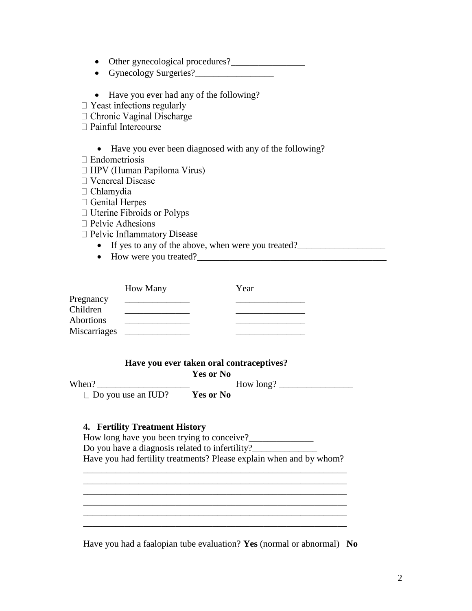- Other gynecological procedures?\_\_\_\_\_\_\_\_\_\_\_\_\_\_\_\_
- Gynecology Surgeries?
- Have you ever had any of the following?
- $\Box$  Yeast infections regularly
- □ Chronic Vaginal Discharge
- □ Painful Intercourse
	- Have you ever been diagnosed with any of the following?
- $\Box$  Endometriosis
- $\Box$  HPV (Human Papiloma Virus)
- $\Box$  Venereal Disease
- $\Box$  Chlamydia
- $\Box$  Genital Herpes
- $\Box$  Uterine Fibroids or Polyps
- $\Box$  Pelvic Adhesions
- $\Box$  Pelvic Inflammatory Disease
	- If yes to any of the above, when were you treated?\_\_\_\_\_\_\_\_\_\_\_\_\_\_\_\_\_\_\_\_\_\_\_\_\_\_\_\_
	- How were you treated?\_\_\_\_\_\_\_\_\_\_\_\_\_\_\_\_\_\_\_\_\_\_\_\_\_\_\_\_\_\_\_\_\_\_\_\_\_\_\_\_\_

|                  | <b>How Many</b> | Year |
|------------------|-----------------|------|
| Pregnancy        |                 |      |
| Children         |                 |      |
| <b>Abortions</b> |                 |      |
| Miscarriages     |                 |      |

## **Have you ever taken oral contraceptives?**

 **Yes or No** When? \_\_\_\_\_\_\_\_\_\_\_\_\_\_\_\_\_\_\_\_ How long? \_\_\_\_\_\_\_\_\_\_\_\_\_\_\_\_ Do you use an IUD? **Yes or No**

## **4. Fertility Treatment History**

How long have you been trying to conceive? Do you have a diagnosis related to infertility?\_\_\_\_\_\_\_\_\_\_\_\_\_\_\_\_\_\_\_\_\_\_\_\_\_\_\_\_\_\_\_\_\_ Have you had fertility treatments? Please explain when and by whom?

\_\_\_\_\_\_\_\_\_\_\_\_\_\_\_\_\_\_\_\_\_\_\_\_\_\_\_\_\_\_\_\_\_\_\_\_\_\_\_\_\_\_\_\_\_\_\_\_\_\_\_\_\_\_\_\_\_

\_\_\_\_\_\_\_\_\_\_\_\_\_\_\_\_\_\_\_\_\_\_\_\_\_\_\_\_\_\_\_\_\_\_\_\_\_\_\_\_\_\_\_\_\_\_\_\_\_\_\_\_\_\_\_\_\_ \_\_\_\_\_\_\_\_\_\_\_\_\_\_\_\_\_\_\_\_\_\_\_\_\_\_\_\_\_\_\_\_\_\_\_\_\_\_\_\_\_\_\_\_\_\_\_\_\_\_\_\_\_\_\_\_\_  $\mathcal{L}_\mathcal{L} = \{ \mathcal{L}_1, \mathcal{L}_2, \ldots, \mathcal{L}_N \}$ \_\_\_\_\_\_\_\_\_\_\_\_\_\_\_\_\_\_\_\_\_\_\_\_\_\_\_\_\_\_\_\_\_\_\_\_\_\_\_\_\_\_\_\_\_\_\_\_\_\_\_\_\_\_\_\_\_

Have you had a faalopian tube evaluation? **Yes** (normal or abnormal) **No**